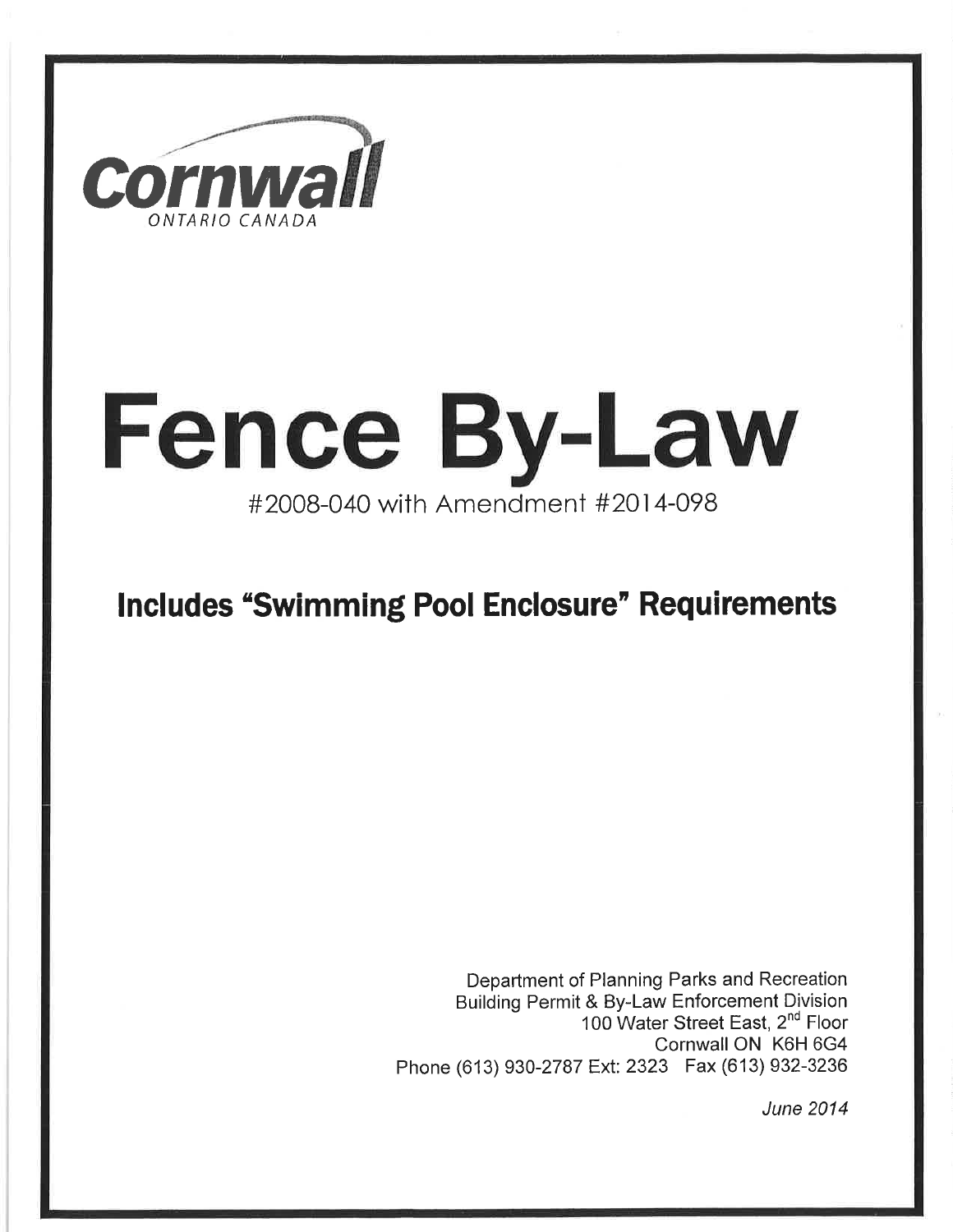

# **Fence By-Law** #2OOB-O4O with Amendment #201 4-O9B

### Includes "Swimming Pool Enclosure" Requirements

Department of Planning Parks and Recreation Building Permit & By-Law Enforcement Division 100 Water Street East, 2<sup>nd</sup> Floor Cornwall ON K6H 6G4 Phone (613) 930-2787 Ext: 2323 Fax (613) 932-3236

June 2014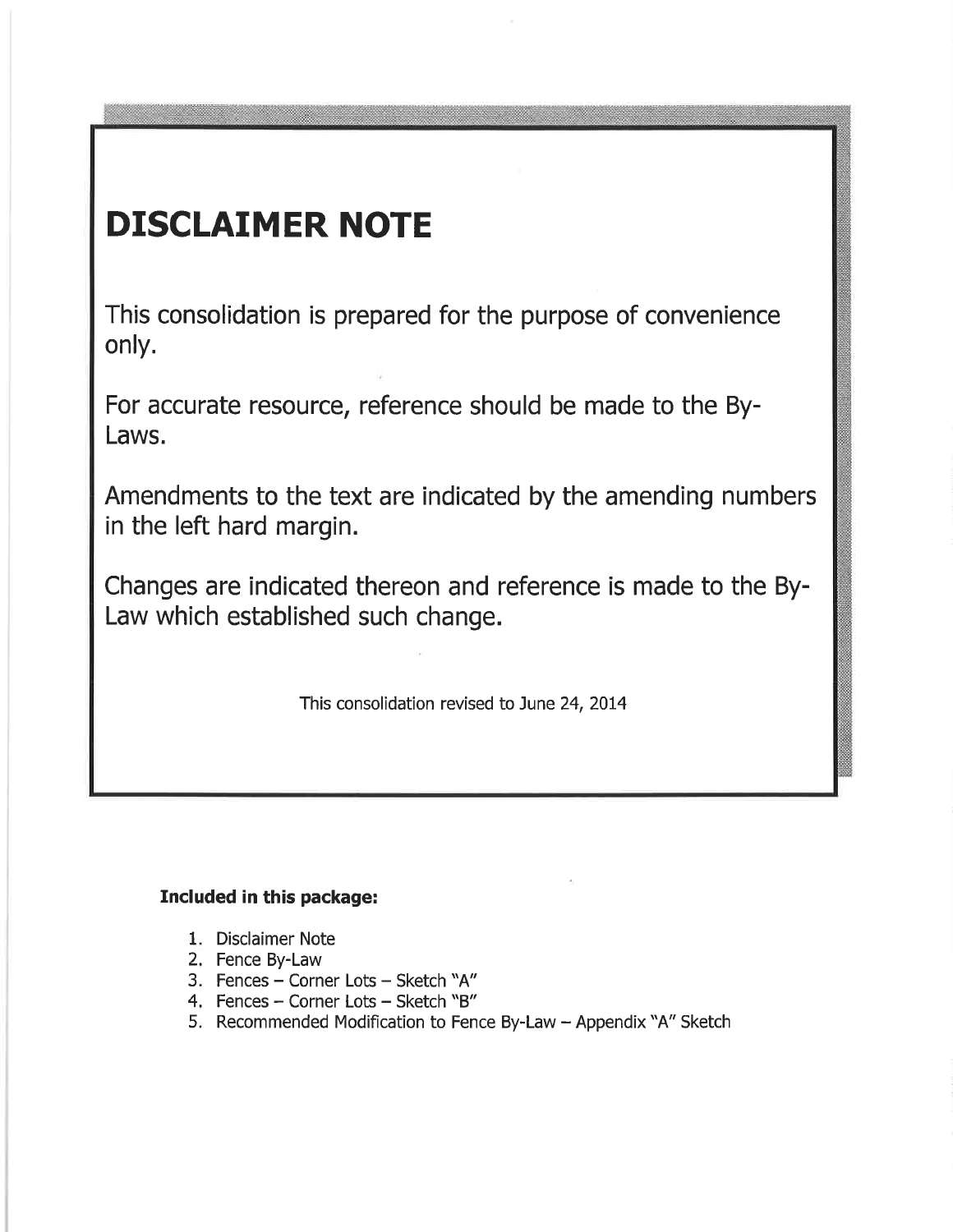# DISCLAIMER NOTE

This consolidation is prepared for the purpose of convenience only.

For accurate resource, reference should be made to the By-Laws.

Amendments to the text are indicated by the amending numbers in the left hard margin.

Changes are indicated thereon and reference is made to the By-Law which established such change.

This consolidation revised to June 24, 2014

#### Included in this package:

- 1. Disclaimer Note
- 2. Fence By-Law
- 3. Fences Corner Lots Sketch "A"
- 4. Fences Corner Lots Sketch "B"
- 5. Recommended Modification to Fence By-Law Appendix "A" Sketch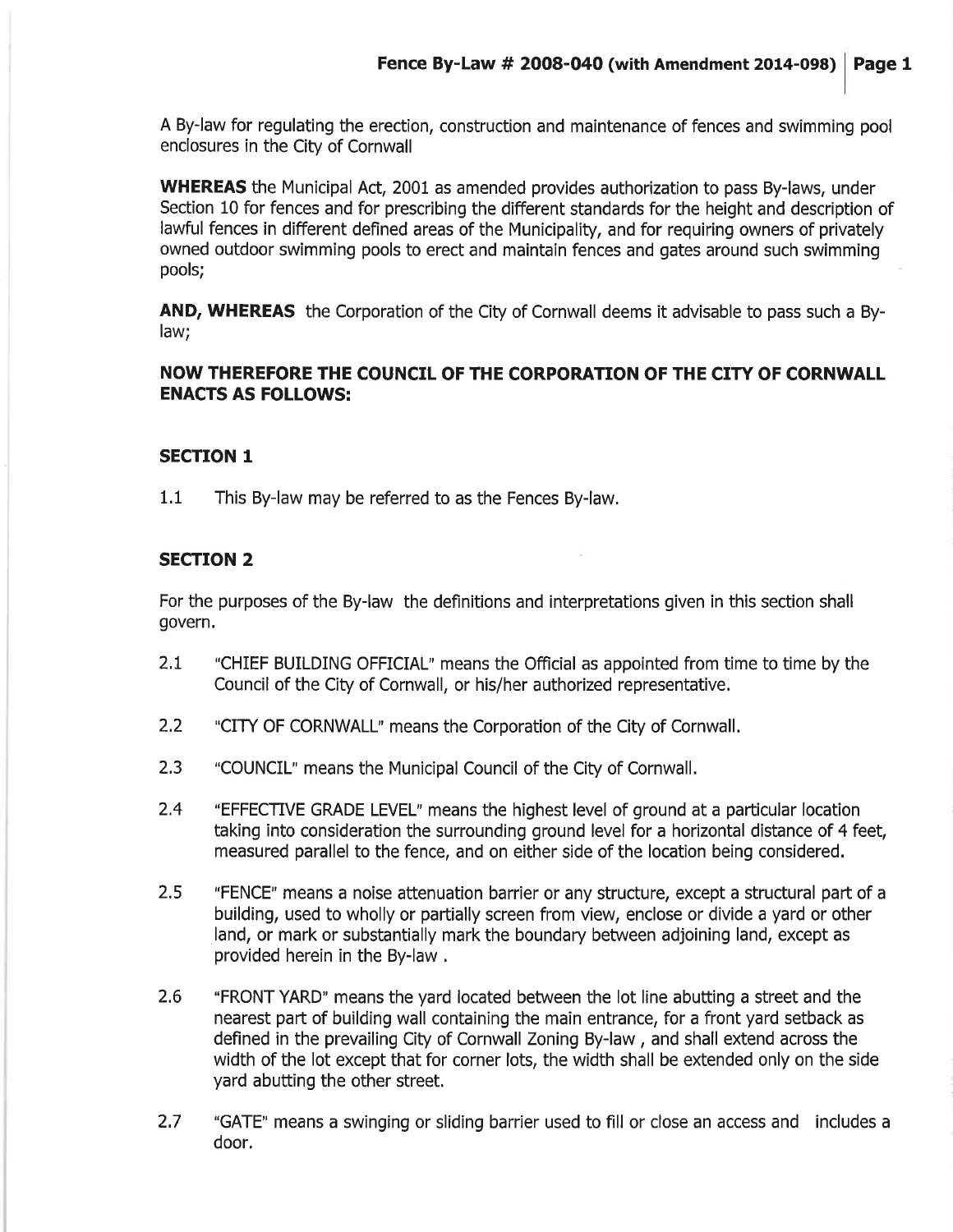A By-law for regulating the erection, construction and maintenance of fences and swimming pool enclosures in the City of Cornwall

WHEREAS the Municipal Act, 2001 as amended provides authorization to pass By-laws, under Section 10 for fences and for prescribing the different standards for the height and description of lawful fences in different defined areas of the Municipality, and for requiring owners of privately owned outdoor swimming pools to erect and maintain fences and gates around such swimming pools;

AND, WHEREAS the Corporation of the City of Cornwall deems it advisable to pass such a Bylaw;

#### NOW THEREFORE THE COUNCIL OF THE CORPORATION OF THE CITY OF CORNWALL ENACTS AS FOLLOWS:

#### SECTION 1

1.1 This By-law may be referred to as the Fences By-law,

#### SECTION 2

For the purposes of the By-law the definitions and interpretations given in this section shall govern.

- "CHIEF BUILDING OFFICIAL" means the Official as appointed from time to time by the Council of the City of Cornwall, or his/her authorized representative. 2.1
- "CITY OF CORNWALL" means the Corporation of the City of Cornwall 2.2
- "COUNCIL" means the Municipal Council of the City of Cornwall. 2.3
- "EFFECIVE GRADE LEVEL' means the highest level of ground at a particular location taking into consideration the surrounding ground level for a horizontal distance of 4 feet, measured parallel to the fence, and on either side of the location being considered. 2.4
- "FENCE" means a noise attenuation barrier or any structure, except a structural paft of a building, used to wholly or partially screen from view, enclose or divide a yard or other land, or mark or substantially mark the boundary between adjoining land, except as provided herein in the By-law . 2.5
- 2.6 'FRONT YARD" means the yard located between the lot line abutting a street and the nearest part of building wall containing the main entrance, for a front yard setback as defined in the prevailing City of Cornwall Zoning By-law , and shall extend across the width of the lot except that for corner lots, the width shall be extended only on the side yard abutting the other street.
- 2.7 "GATE" means a swinging or sliding barrier used to fill or close an access and includes a door.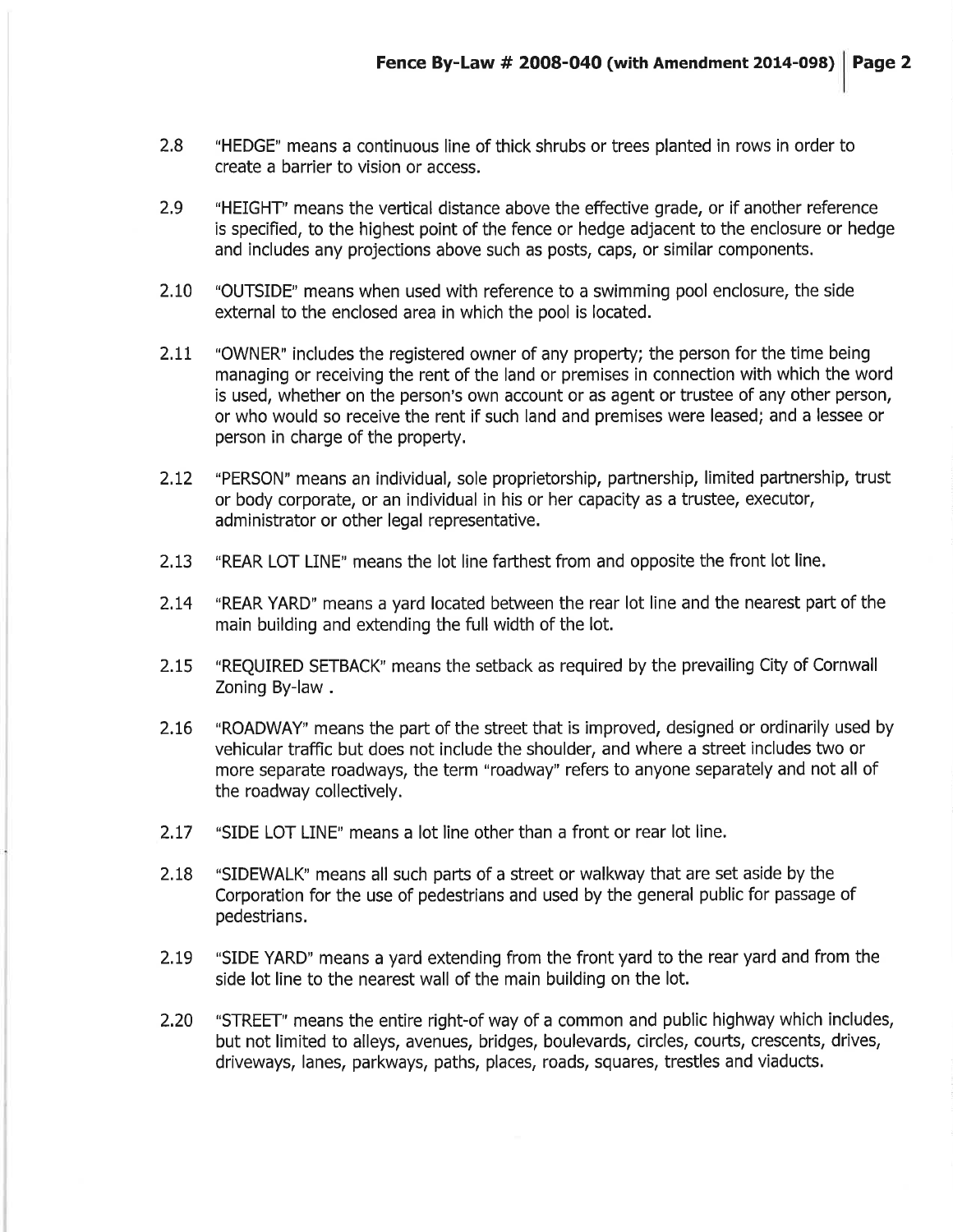- 2.8 "HEDGE" means a continuous line of thick shrubs or trees planted in rows in order to create a barrier to vision or access.
- 2.9 "HEIGHT" means the vertical distance above the effective grade, or if another reference is specifìed, to the highest point of the fence or hedge adjacent to the enclosure or hedge and includes any projections above such as posts, caps, or similar components.
- 2.I0 "OUTSIDE" means when used with reference to a swimming pool enclosure, the side external to the enclosed area in which the pool is located.
- 2.11 "OWNER" includes the registered owner of any property; the person for the time being managing or receiving the rent of the land or premises in connection with which the word is used, whether on the person's own account or as agent or trustee of any other person, or who would so receive the rent if such land and premises were leased; and a lessee or person in charge of the property.
- 2.I2 "PERSON' means an individual, sole proprietorship, partnership, limited partnership, trust or body corporate, or an individual in his or her capacity as a trustee, executor, administrator or other legal representative.
- 2.13 "REAR LOT LINE" means the lot line farthest from and opposite the front lot line.
- 2.t4 "REAR YARD' means a yard located between the rear lot line and the nearest part of the main building and extending the full width of the lot.
- 2.L5 "REQUIRED SETBACK" means the setback as required by the prevailing City of Cornwall Zoning By-law .
- 2.L6 "ROADWAY" means the part of the street that is improved, designed or ordinarily used by vehicular traffic but does not include the shoulder, and where a street includes two or more separate roadways, the term "roadway" refers to anyone separately and not all of the roadway collectively.
- 2.L7 "SIDE LOT LINE" means a lot line other than a front or rear lot line,
- 2.18 "SIDEWALK" means all such parts of a street or walkway that are set aside by the Corporation for the use of pedestrians and used by the general public for passage of pedestrians.
- 2.L9 "SIDE YARD" means a yard extending from the front yard to the rear yard and from the side lot line to the nearest wall of the main building on the lot.
- 2.20 "STREET" means the entire right-of way of a common and public highway which includes, but not limited to alleys, avenues, bridges, boulevards, circles, coutts, crescents, drives, driveways, lanes, parkways, paths, places, roads, squares, trestles and viaducts.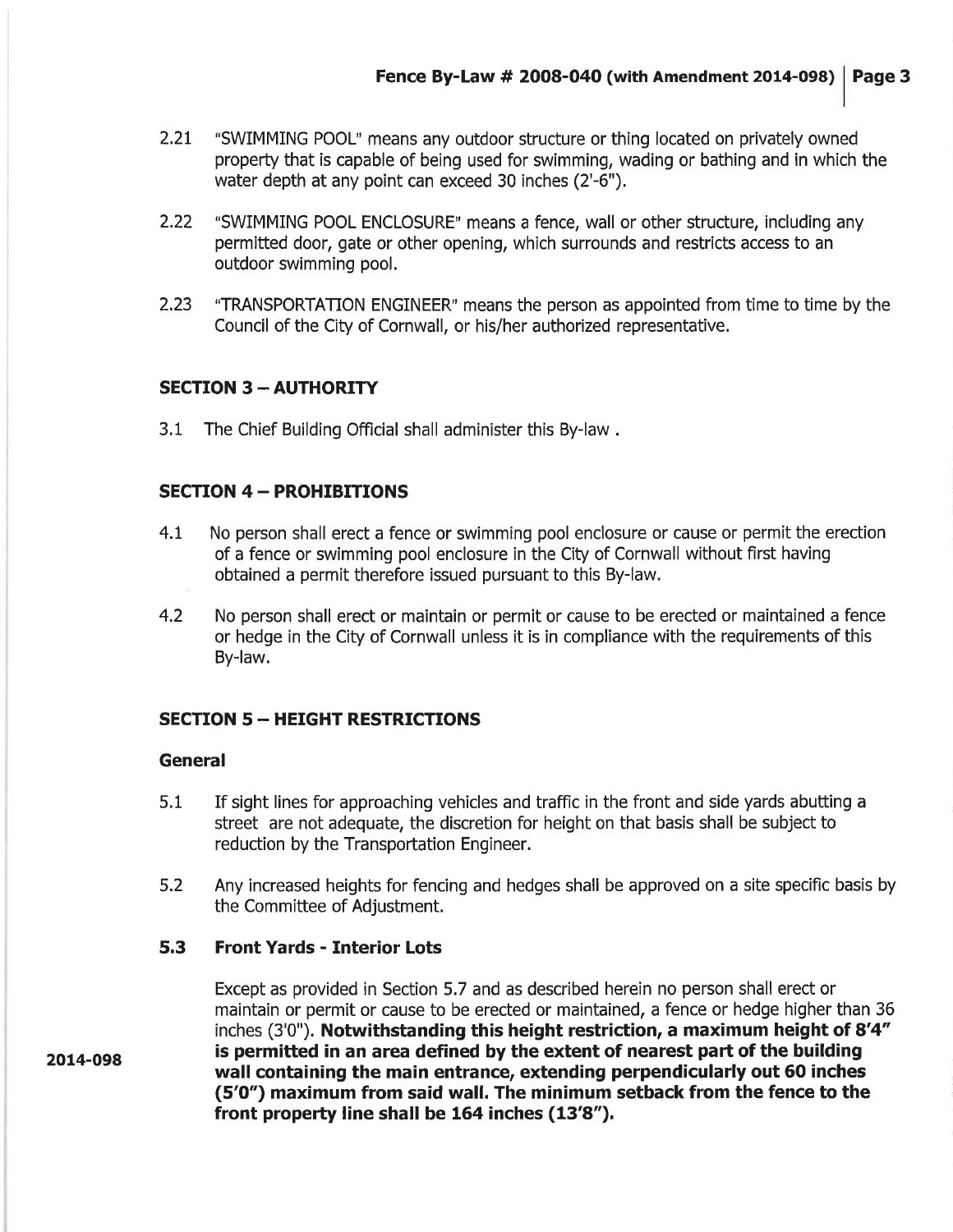- 2.21 "SWIMMING POOL" means any outdoor structure or thing located on privately owned property that is capable of being used for swimming, wading or bathing and in which the water depth at any point can exceed 30 inches (2'-6").
- 2.22 "SWIMMING POOL ENCLOSURE" means a fence, wall or other structure, including any permitted door, gate or other opening, which surrounds and restricts access to an outdoor swimming pool.
- 2.23 "TRANSPORTATION ENGINEER" means the person as appointed from time to time by the Council of the City of Cornwall, or his/her authorized representative,

#### **SECTION 3 - AUTHORITY**

3.1 The Chief Building Official shall administer this By-law .

#### **SECTION 4 - PROHIBITIONS**

- 4.t No person shall erect a fence or swimming pool enclosure or cause or permit the erection of a fence or swimming pool enclosure in the City of Cornwall without first having obtained a permit therefore issued pursuant to this By-law.
- 4.2 No person shall erect or maintain or permit or cause to be erected or maintained a fence or hedge in the City of Cornwall unless it is in compliance with the requirements of this By-law.

#### **SECTION 5 - HEIGHT RESTRICTIONS**

#### General

- 5.1 If sight lines for approaching vehicles and traffic in the front and side yards abutting a street are not adequate, the discretion for height on that basis shall be subject to reduction by the Transportation Engineer.
- 5.2 Any increased heights for fencing and hedges shall be approved on a site specific basis by the Committee of Adjustment.

#### 5.3 Front Yards - Interior Lots

Except as provided in Section 5,7 and as described herein no person shall erect or maintain or permit or cause to be erected or maintained, a fence or hedge higher than 36 inches (3'0"). Notwithstanding this height restriction, a maximum height of 8'4" is permitted in an area defined by the extent of nearest part of the building wall containing the main entrance, extending perpendicularly out 60 inches (5'0") maximum from said wall. The minimum setback from the fence to the front property line shall be  $164$  inches  $(13'8'')$ .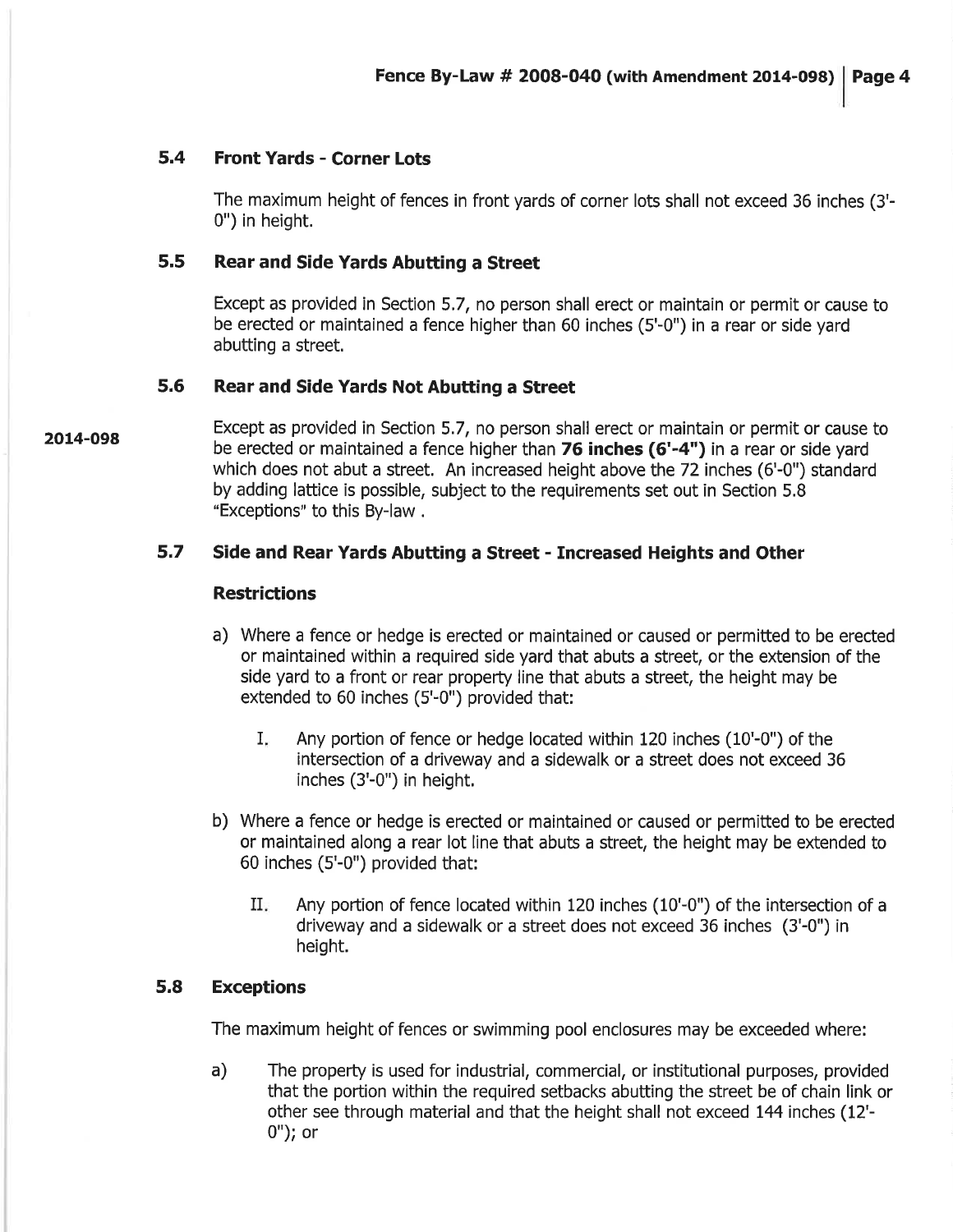#### 5.4 Front Yards - Corner Lots

The maximum height of fences in front yards of corner lots shall not exceed 36 inches (3'- 0") in height.

#### 5.5 Rear and Side Yards Abutting a Street

Except as provided in Section 5.7, no person shall erect or maintain or permit or cause to be erected or maintained a fence higher than 60 inches (5'-0") in a rear or side yard abutting a street.

#### 5.6 Rear and Side Yards Not Abutting a Street

Except as provided in Section 5.7, no person shall erect or maintain or permit or cause to be erected or maintained a fence higher than 76 inches (6'-4") in a rear or side yard which does not abut a street. An increased height above the 72 inches (6'-0") standard by adding lattice is possible, subject to the requirements set out in Section 5.8 "Exceptions" to this By-law .

#### 5.7 Side and Rear Yards Abutting a Street - Increased Heights and Other

#### **Restrictions**

- a) Where a fence or hedge is erected or maintained or caused or permitted to be erected or maintained within a required side yard that abuts a street, or the extension of the side yard to a front or rear property line that abuts a street, the height may be extended to 60 inches (5'-0") provided that:
	- Any portion of fence or hedge located within 120 inches (10'-0") of the intersection of a driveway and a sidewalk or a street does not exceed 36 inches (3'-0") in height, I
- b) Where a fence or hedge is erected or maintained or caused or permitted to be erected or maintained along a rear lot line that abuts a street, the height may be extended to 60 inches (5'-0") provided that:
	- Any pottion of fence located within 120 inches (10'-0") of the intersection of a driveway and a sidewalk or a street does not exceed 36 inches (3'-0") in height. il

#### 5.8 Exceptions

The maximum height of fences or swimming pool enclosures may be exceeded where:

a) The property is used for industrial, commercial, or institutional purposes, provided that the portion within the required setbacks abutting the street be of chain link or other see through material and that the height shall not exceed 144 inches (12' o"); or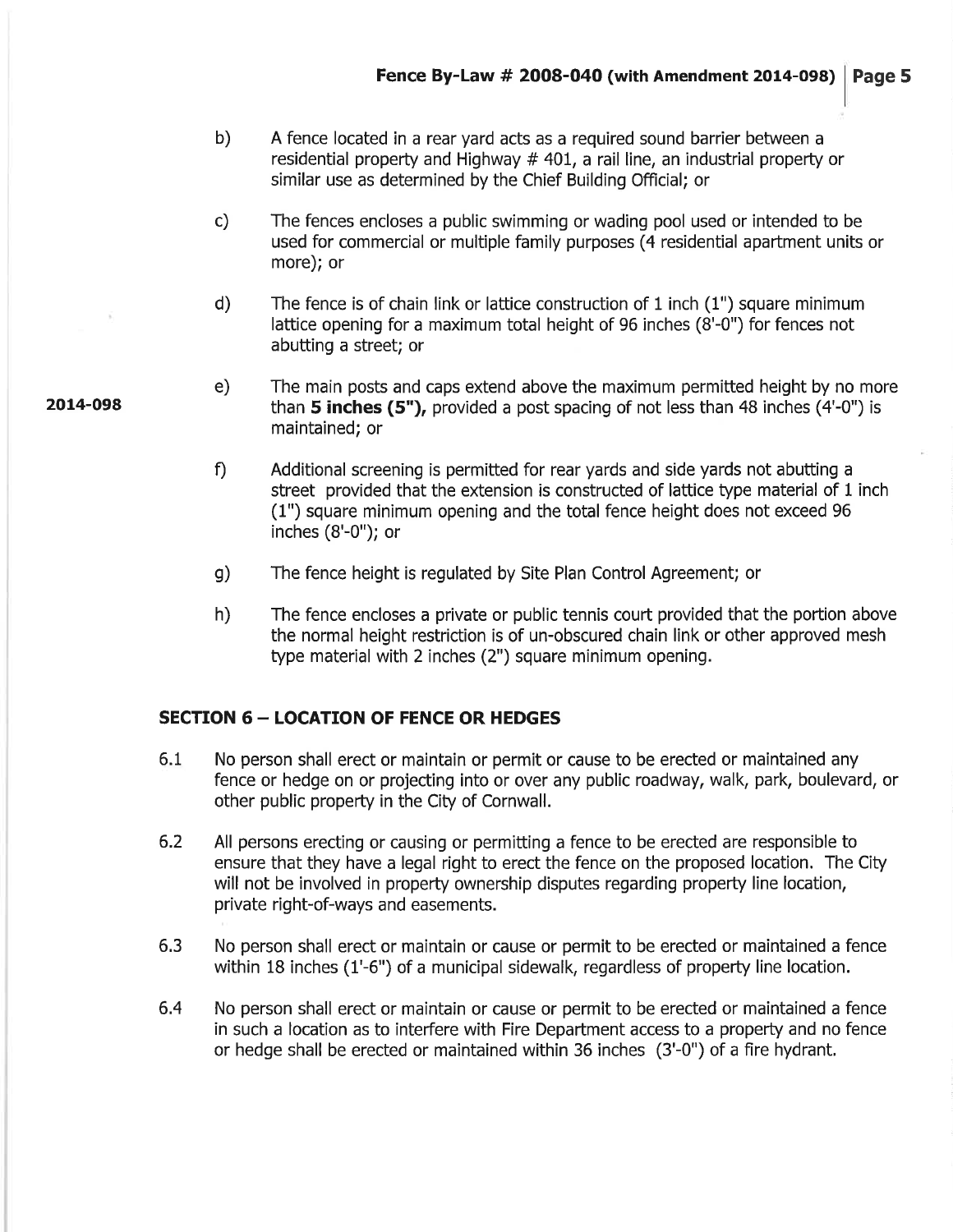- b) A fence located in a rear yard acts as a required sound barrier between a residential property and Highway  $# 401$ , a rail line, an industrial property or similar use as determined by the Chief Building Official; or
- c) The fences encloses a public swimming or wading pool used or intended to be used for commercial or multiple family purposes (4 residential apartment units or more); or
- d) The fence is of chain link or lattice construction of 1 inch (1") square minimum lattice opening for a maximum total height of 96 inches (8'-0") for fences not abutting a street; or
- e) The main posts and caps extend above the maximum permitted height by no more than  $5$  inches (5"), provided a post spacing of not less than 48 inches (4'-0") is maintained; or
- f) Additional screening is permitted for rear yards and side yards not abutting a street provided that the extension is constructed of lattice type material of 1 inch (1") square minimum opening and the total fence height does not exceed 96 inches (8'-0"); or
- g) The fence height is regulated by Site Plan Control Agreement; or
- h) The fence encloses a private or public tennis court provided that the portion above the normal height restriction is of un-obscured chain link or other approved mesh type material with 2 inches (2") square minimum opening.

#### **SECTION 6 - LOCATION OF FENCE OR HEDGES**

- 6.1 No person shall erect or maintain or permit or cause to be erected or maintained any fence or hedge on or projecting into or over any public roadway, walk, park, boulevard, or other public property in the City of Cornwall.
- All persons erecting or causing or permitting a fence to be erected are responsible to ensure that they have a legal right to erect the fence on the proposed location. The City will not be involved in property ownership disputes regarding property line location, private right-of-ways and easements. 6.2
- 6,3 No person shall erect or maintain or cause or permit to be erected or maintained a fence within 18 inches (1'-6") of a municipal sidewalk, regardless of property line location.
- No person shall erect or maintain or cause or permit to be erected or maintained a fence in such a location as to interfere with Fire Department access to a property and no fence or hedge shall be erected or maintained within 36 inches (3'-0") of a fire hydrant, 6.4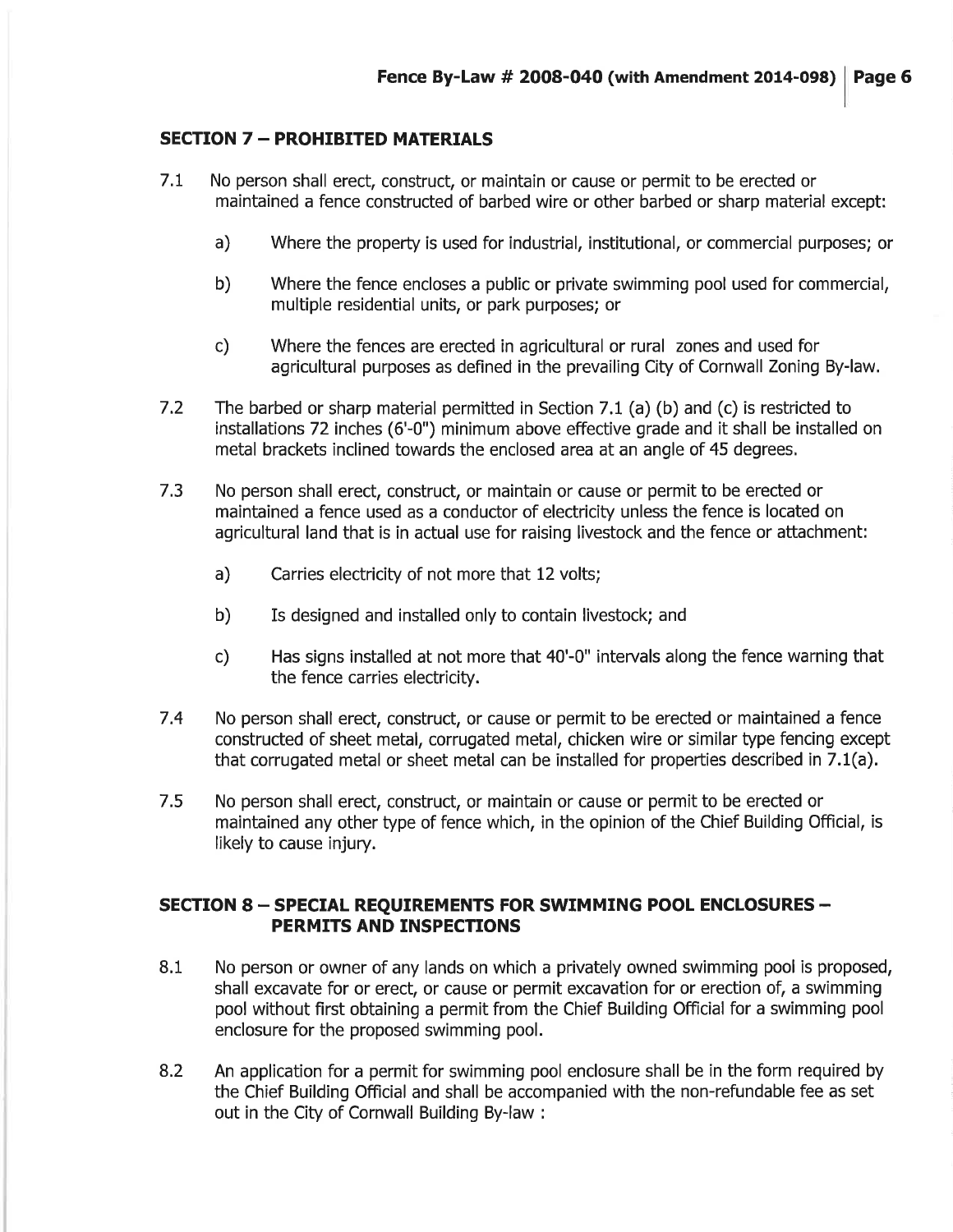#### **SECTION 7 - PROHIBITED MATERIALS**

- No person shall erect, construct, or maintain or cause or permit to be erected or maintained a fence constructed of barbed wire or other barbed or sharp material except: 7.L
	- a) Where the property is used for industrial, institutional, or commercial purposes; or
	- b) Where the fence encloses a public or private swimming pool used for commercial, multiple residential units, or park purposes; or
	- c) Where the fences are erected in agricultural or rural zones and used for agricultural purposes as defined in the prevailing City of Cornwall Zoning By-law.
- 7.2 The barbed or sharp material permitted in Section 7.t (a) (b) and (c) is restricted to installations 72 inches (6'-0") minimum above effective grade and it shall be installed on metal brackets inclined towards the enclosed area at an angle of 45 degrees,
- No person shall erect, construct, or maintain or cause or permit to be erected or maintained a fence used as a conductor of electricity unless the fence is located on agricultural land that is in actual use for raising livestock and the fence or attachment: 7.3
	- a) Carries electricity of not more that 12 volts;
	- b) Is designed and installed only to contain livestock; and
	- c) Has signs installed at not more that 40'-0" interuals along the fence warning that the fence carries electricity.
- 7.4 No person shall erect, construct, or cause or permit to be erected or maintained a fence constructed of sheet metal, corrugated metal, chicken wire or similar type fencing except that corrugated metal or sheet metal can be installed for properties described in 7.1(a).
- No person shall erect, construct, or maintain or cause or permit to be erected or maintained any other type of fence which, in the opinion of the Chief Building Official, is likely to cause injury. 7.5

#### SECTION 8 - SPECIAL REQUIREMENTS FOR SWIMMING POOL ENCLOSURES -PERMITS AND INSPECTIONS

- 8.1 No person or owner of any lands on which a privately owned swimming pool is proposed, shall excavate for or erect, or cause or permit excavation for or erection of, a swimming pool without first obtaining a permit from the Chief Building Official for a swimming pool enclosure for the proposed swimming pool.
- An application for a permit for swimming pool enclosure shall be in the form required by the Chief Building Official and shall be accompanied with the non-refundable fee as set out in the City of Cornwall Building By-law : 8.2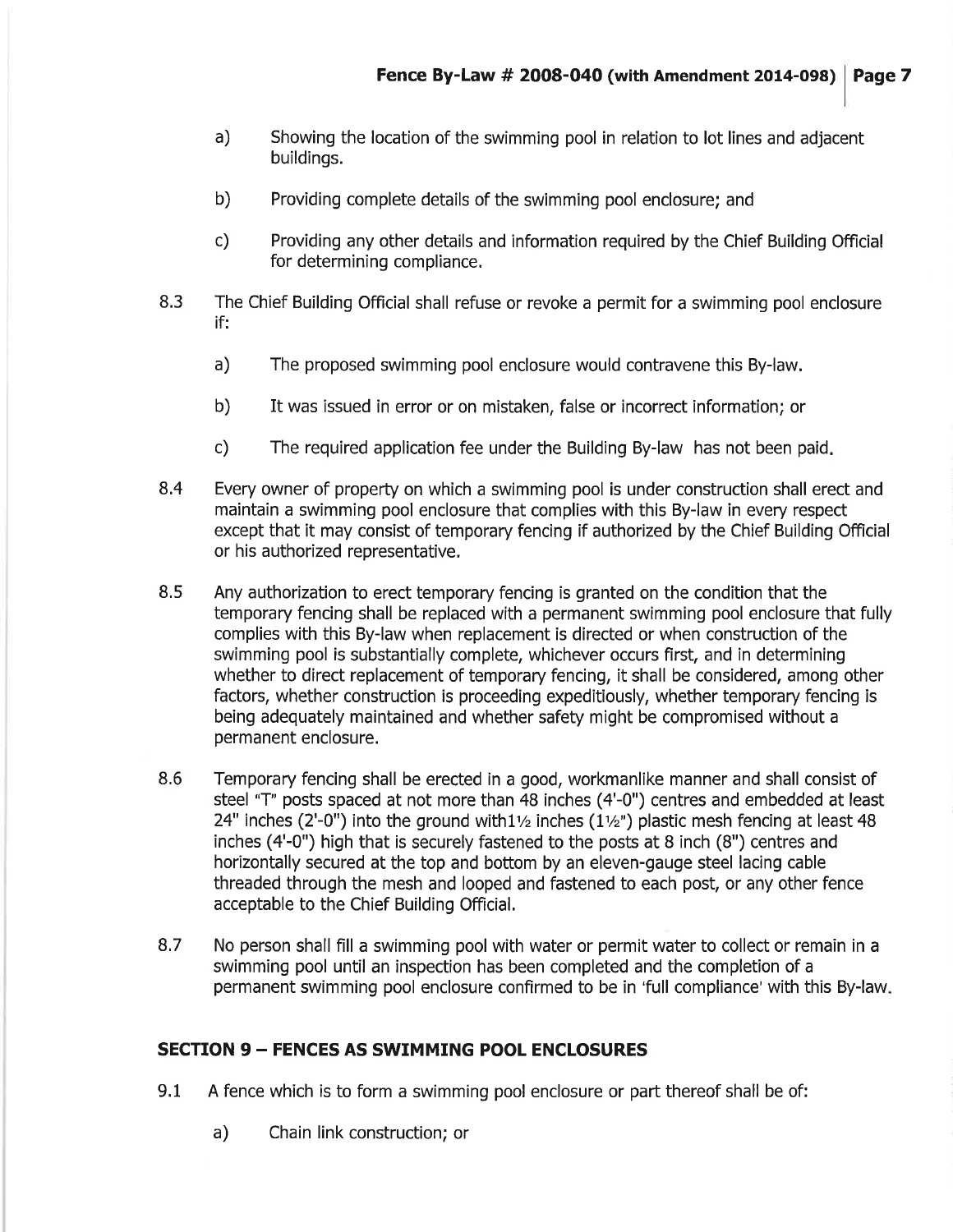- a) Showing the location of the swimming pool in relation to lot lines and adjacent buildings.
- b) Providing complete details of the swimming pool enclosure; and
- c) Providing any other details and information required by the Chief Building Official for determining compliance.
- 8.3 The Chief Building Official shall refuse or revoke a permit for a swimming pool enclosure if:
	- a) The proposed swimming pool enclosure would contravene this By-law.
	- b) It was issued in error or on mistaken, false or incorrect information; or
	- c) The required application fee under the Building By-law has not been paid
- 8.4 Every owner of property on which a swimming pool is under construction shall erect and maintain a swimming pool enclosure that complies with this By-law in every respect except that it may consist of temporary fencing if authorized by the Chief Building Official or his authorized representative,
- Any authorization to erect temporary fencing is granted on the condition that the temporary fencing shall be replaced with a permanent swimming pool enclosure that fully complies with this By-law when replacement is directed or when construction of the swimming pool is substantially complete, whichever occurs first, and in determining whether to direct replacement of temporary fencing, it shall be considered, among other factors, whether construction is proceeding expeditiously, whether temporary fencing is being adequately maintained and whether safety might be compromised without a permanent enclosure. 8,5
- Temporary fencing shall be erected in a good, workmanlike manner and shall consist of steel "T" posts spaced at not more than 48 inches (4'-0") centres and embedded at least 24" inches (2'-0") into the ground with1 $\frac{1}{2}$  inches (1 $\frac{1}{2}$ ") plastic mesh fencing at least 48 inches (4'-0") high that is securely fastened to the posts at 8 inch (8") centres and horizontally secured at the top and bottom by an eleven-gauge steel lacing cable threaded through the mesh and looped and fastened to each post, or any other fence acceptable to the Chief Building Official. 8,6
- No person shall fill a swimming pool with water or permit water to collect or remain in a swimming pool until an inspection has been completed and the completion of a permanent swimming pool enclosure confirmed to be in 'full compliance' with this By-law. 8.7

#### SECTION <sup>9</sup>- FENCES AS SWIMMING POOL ENCLOSURES

- 9.1 A fence which is to form a swimming pool enclosure or part thereof shall be of:
	- a) Chain link construction; or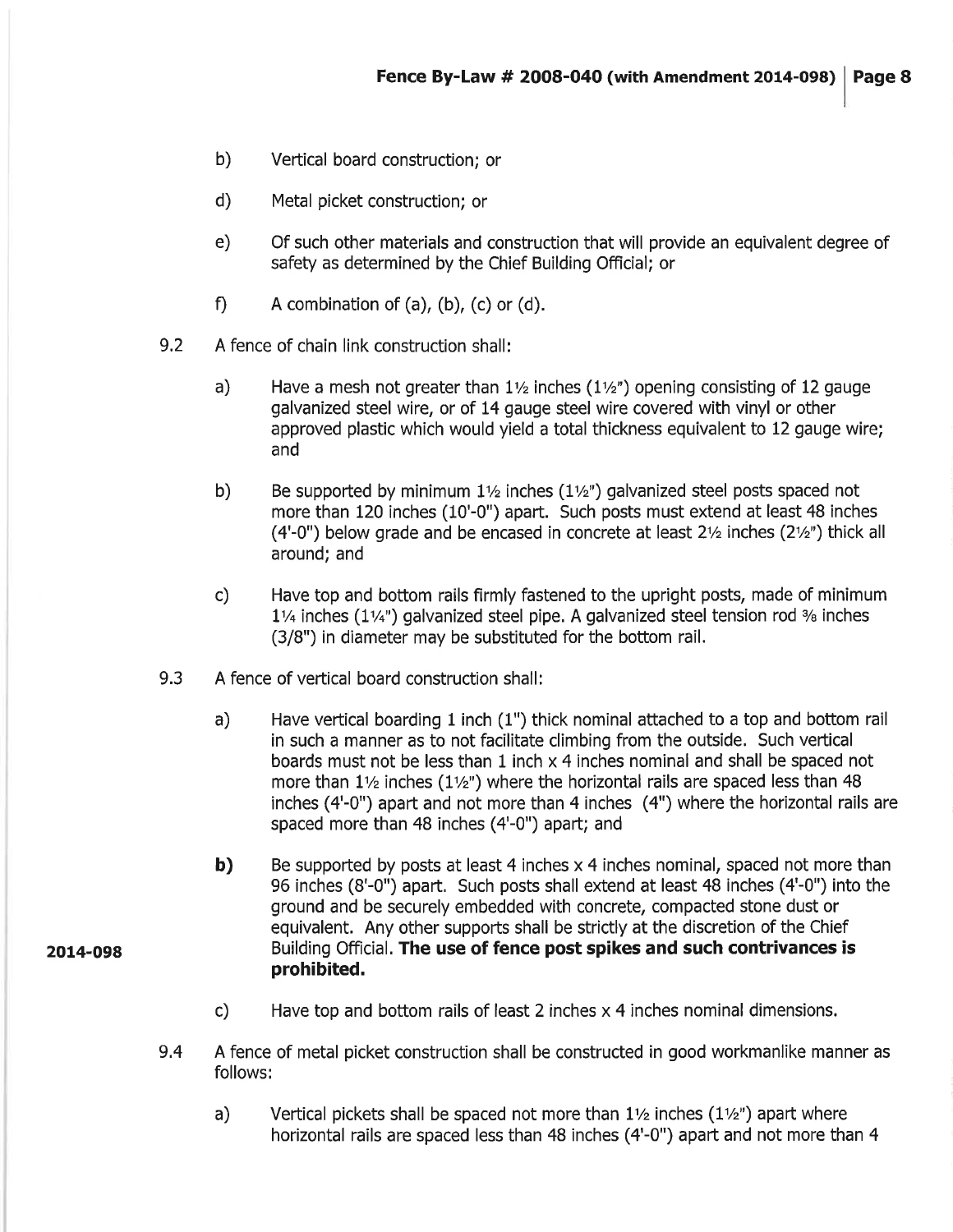- b) Vertical board construction; or
- d) Metal picket construction; or
- e) Of such other materials and construction that will provide an equivalent degree of safety as determined by the Chief Building Official; or
- f) A combination of  $(a)$ ,  $(b)$ ,  $(c)$  or  $(d)$ .
- 9.2 A fence of chain link construction shall:
	- a) Have a mesh not greater than  $1\frac{1}{2}$  inches ( $1\frac{1}{2}$ ) opening consisting of 12 gauge galvanized steel wire, or of 14 gauge steel wire covered with vinyl or other approved plastic which would yield a total thickness equivalent to 12 gauge wire; and
	- b) Be supported by minimum  $1\frac{1}{2}$  inches  $(1\frac{1}{2})$  galvanized steel posts spaced not more than 120 inches (10'-0") apart. Such posts must extend at least 48 inches (4'-0") below grade and be encased in concrete at least  $2\frac{1}{2}$  inches (2 $\frac{1}{2}$ ") thick all around; and
	- c) Have top and bottom rails firmly fastened to the upright posts, made of minimum  $1\frac{1}{4}$  inches ( $1\frac{1}{4}$ ) galvanized steel pipe. A galvanized steel tension rod  $\frac{3}{6}$  inches (3/8") in diameter may be substituted for the bottom rail.
- 9.3 A fence of vertical board construction shall:
	- a) Have vertical boarding 1 inch (1") thick nominal attached to a top and bottom rail in such a manner as to not facilitate climbing from the outside. Such veftical boards must not be less than 1 inch x 4 inches nominal and shall be spaced not more than  $1\frac{1}{2}$  inches ( $1\frac{1}{2}$ ) where the horizontal rails are spaced less than 48 inches (4'-0") apart and not more than 4 inches (4") where the horizontal rails are spaced more than 48 inches (4'-0") apart; and
	- b) Be supported by posts at least 4 inches x 4 inches nominal, spaced not more than 96 inches (8'-0") apart, Such posts shall extend at least 48 inches (4'-0") into the ground and be securely embedded with concrete, compacted stone dust or equivalent. Any other supports shall be strictly at the discretion of the Chief Building Official. The use of fence post spikes and such contrivances is prohibited.
	- c) Have top and bottom rails of least 2 inches  $\times$  4 inches nominal dimensions.
- A fence of metal picket construction shall be constructed in good workmanlike manner as follows: 9.4
	- Vertical pickets shall be spaced not more than  $1\frac{1}{2}$  inches ( $1\frac{1}{2}$ ) apart where horizontal rails are spaced less than 48 inches (4'-0") apart and not more than 4 a)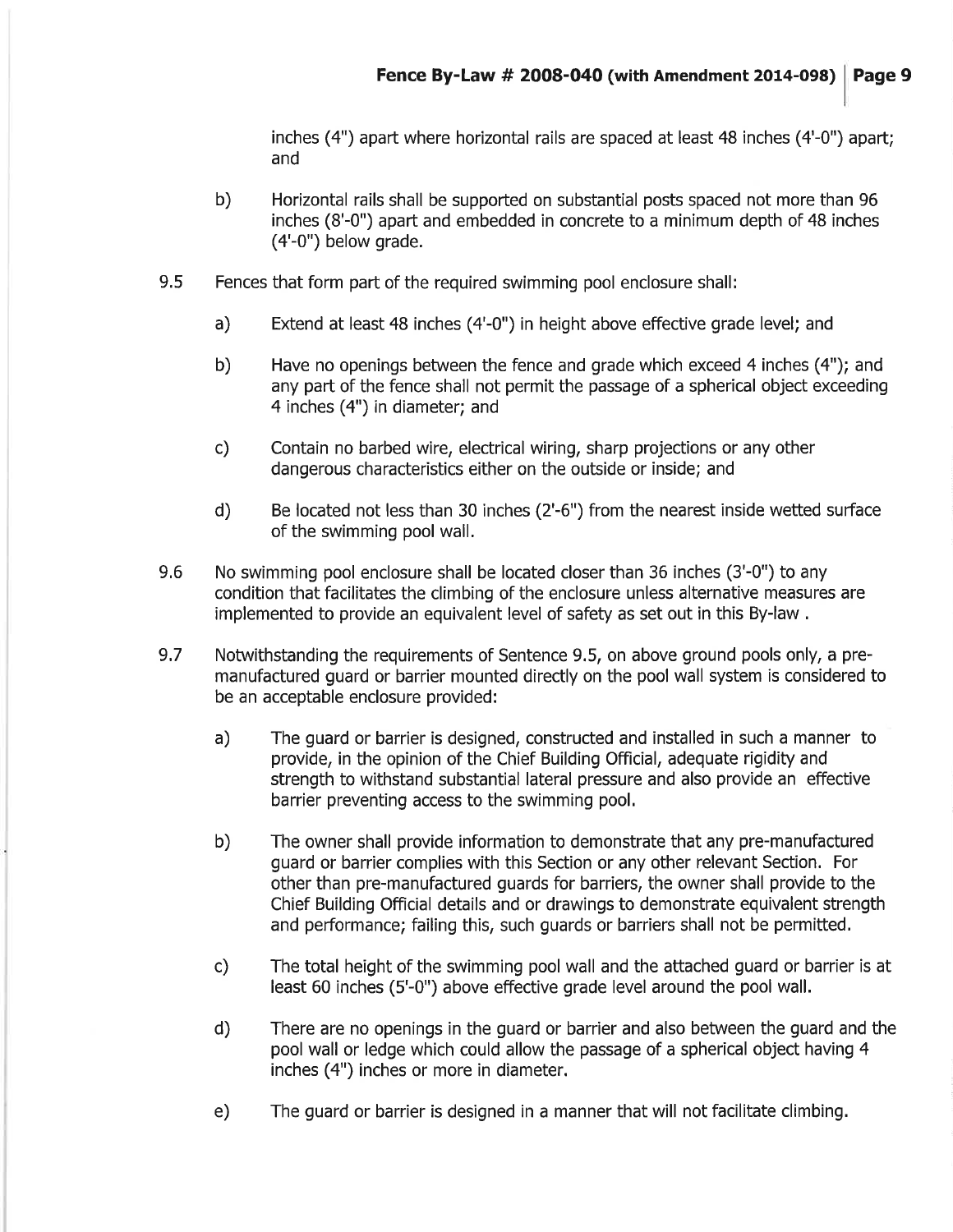inches (4") apart where horizontal rails are spaced at least 48 inches (4'-0") apart; and

- b) Horizontal rails shall be supported on substantial posts spaced not more than 96 inches (8'-0") apart and embedded in concrete to a minimum depth of 48 inches (4'-0") below grade.
- 9.5 Fences that form part of the required swimming pool enclosure shall:
	- a) Extend at least 48 inches (4'-0") in height above effective grade level; and
	- b) Have no openings between the fence and grade which exceed 4 inches (4"); and any part of the fence shall not permit the passage of a spherical object exceeding 4 inches (4") in diameter; and
	- c) Contain no barbed wire, electrical wiring, sharp projections or any other dangerous characteristics either on the outside or inside; and
	- d) Be located not less than 30 inches (2'-6") from the nearest inside wetted suface of the swimming pool wall.
- 9,6 No swimming pool enclosure shall be located closer than 36 inches (3'-0") to any condition that facilitates the climbing of the enclosure unless alternative measures are implemented to provide an equivalent level of safety as set out in this By-law .
- 9.7 Notwithstanding the requirements of Sentence 9.5, on above ground pools only, a premanufactured guard or barrier mounted directly on the pool wall system is considered to be an acceptable enclosure provided:
	- a) The guard or barrier is designed, constructed and installed in such a manner to provide, in the opinion of the Chief Building Official, adequate rigidity and strength to withstand substantial lateral pressure and also provide an effective barrier preventing access to the swimming pool,
	- b) The owner shall provide information to demonstrate that any pre-manufactured guard or barrier complies with this Section or any other relevant Section. For other than pre-manufactured guards for barriers, the owner shall provide to the Chief Building Official details and or drawings to demonstrate equivalent strength and performance; failing this, such guards or barriers shall not be permitted.
	- c) The total height of the swimming pool wall and the attached guard or barrier is at least 60 inches (5'-0") above effective grade level around the pool wall.
	- There are no openings in the guard or barrier and also between the guard and the pool wall or ledge which could allow the passage of a spherical object having 4 inches (4") inches or more in diameter. d)
	- e) The guard or barrier is designed in a manner that will not facilitate climbing.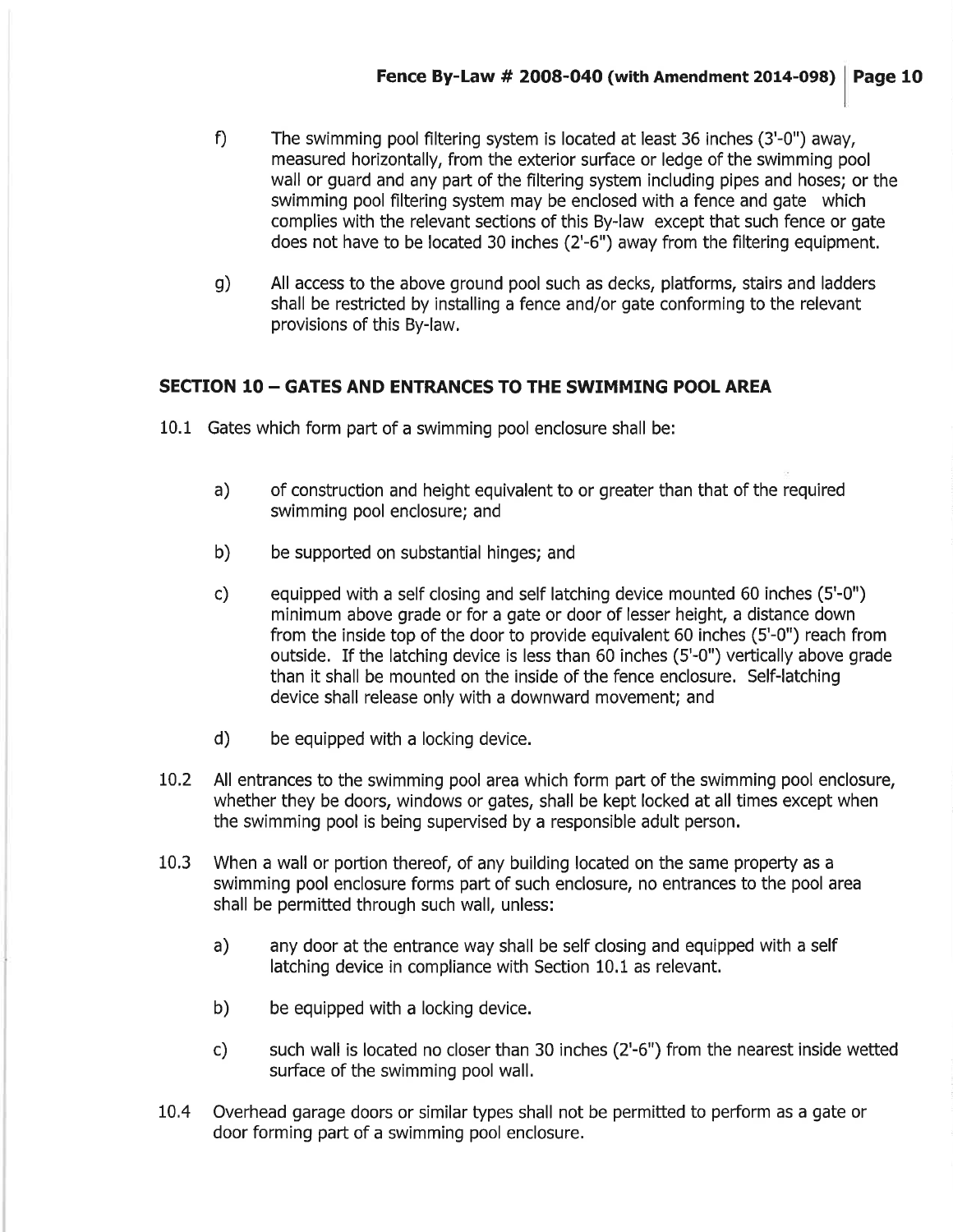- The swimming pool filtering system is located at least 36 inches (3'-0") away, measured horizontally, from the exterior surface or ledge of the swimming pool wall or guard and any part of the filtering system including pipes and hoses; or the swimming pool filtering system may be enclosed with a fence and gate which complies with the relevant sections of this By-law except that such fence or gate does not have to be located 30 inches (2'-6") away from the filtering equipment. f)
- g) All access to the above ground pool such as decks, platforms, stairs and ladders shall be restricted by installing a fence and/or gate conforming to the relevant provisions of this By-law,

#### SECTION <sup>10</sup>- GATES AND ENTRANCES TO THE SWIMMING POOL AREA

- 10.1 Gates which form part of a swimming pool enclosure shall be:
	- a) of construction and height equivalent to or greater than that of the required swimming pool enclosure; and
	- b) be supported on substantial hinges; and
	- c) equipped with a self closing and self latching device mounted 60 inches (5'-0") minimum above grade or for a gate or door of lesser height, a distance down from the inside top of the door to provide equivalent 60 inches (5'-0") reach from outside. If the latching device is less than 60 inches (5'-0") veftically above grade than it shall be mounted on the inside of the fence enclosure. Self-latching device shall release only with a downward movement; and
	- d) be equipped with a locking device.
- 10.2 All entrances to the swimming pool area which form part of the swimming pool enclosure, whether they be doors, windows or gates, shall be kept locked at all times except when the swimming pool is being supervised by a responsible adult person.
- 10.3 When a wall or portion thereof, of any building located on the same property as <sup>a</sup> swimming pool enclosure forms part of such enclosure, no entrances to the pool area shall be permitted through such wall, unless:
	- a) any door at the entrance way shall be self closing and equipped with a self latching device in compliance with Section 10.1 as relevant.
	- b) be equipped with a locking device.
	- c) such wall is located no closer than 30 inches (2'-6") from the nearest inside wetted suface of the swimming pool wall.
- 10.4 Overhead garage doors or similar types shall not be permitted to perform as a gate or door forming part of a swimming pool enclosure.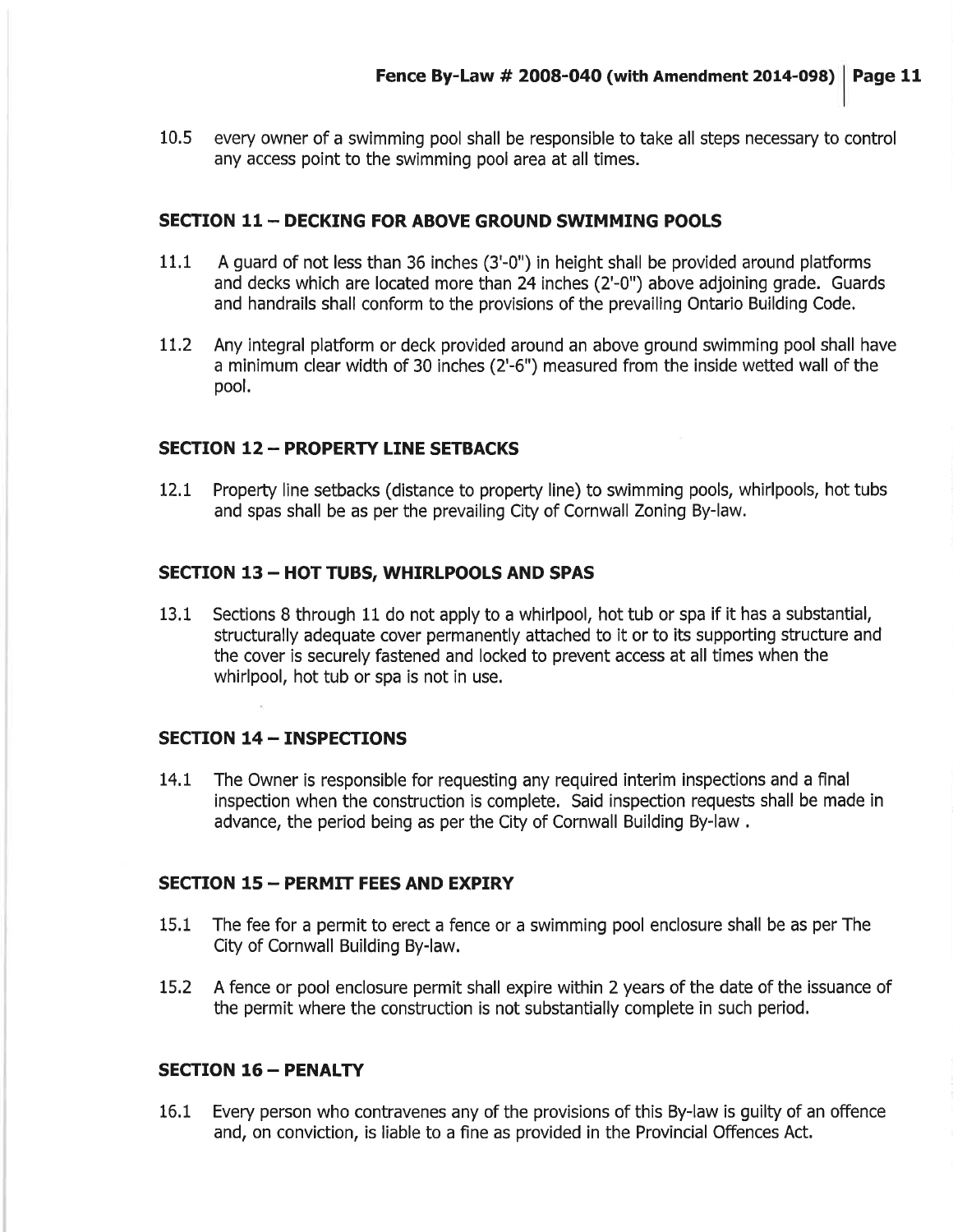10.5 every owner of a swimming pool shall be responsible to take all steps necessary to control any access point to the swimming pool area at all times.

#### SECTION 11 - DECKING FOR ABOVE GROUND SWIMMING POOLS

- 11.1 A guard of not less than 36 inches (3'-0") in height shall be provided around platforms and decks which are located more than 24 inches (2'-0") above adjoining grade. Guards and handrails shall conform to the provisions of the prevailing Ontario Building Code.
- 11.2 Any integral platform or deck provided around an above ground swimming pool shall have a minimum clear width of 30 inches (2'-6") measured from the inside wetted wall of the pool.

#### SECTION 12 - PROPERTY LINE SETBACKS

12.1 Property line setbacks (distance to property line) to swimming pools, whirlpools, hot tubs and spas shall be as per the prevailing City of Cornwall Zoning By-law.

#### SECTION 13 - HOT TUBS, WHIRLPOOLS AND SPAS

13.1 Sections B through 11 do not apply to a whirlpool, hot tub or spa if it has a substantial, structurally adequate cover permanently attached to it or to its supporting structure and the cover is securely fastened and locked to prevent access at all times when the whirlpool, hot tub or spa is not in use.

#### SECTION 14 - INSPECTIONS

l4.l The Owner is responsible for requesting any required interim inspections and a final inspection when the construction is complete, Said inspection requests shall be made in advance, the period being as per the City of Cornwall Building By-law .

#### SECTION 15 - PERMIT FEES AND EXPIRY

- 15.1 The fee for a permit to erect a fence or a swimming pool enclosure shall be as per The City of Cornwall Building By-law.
- L5.2 A fence or pool enclosure permit shall expire within 2 years of the date of the issuance of the permit where the construction is not substantially complete in such period,

#### SECTION 16 - PENALTY

16.1 Every person who contravenes any of the provisions of this By-law is guilty of an offence and, on conviction, is liable to a fine as provided in the Provincial Offences Act,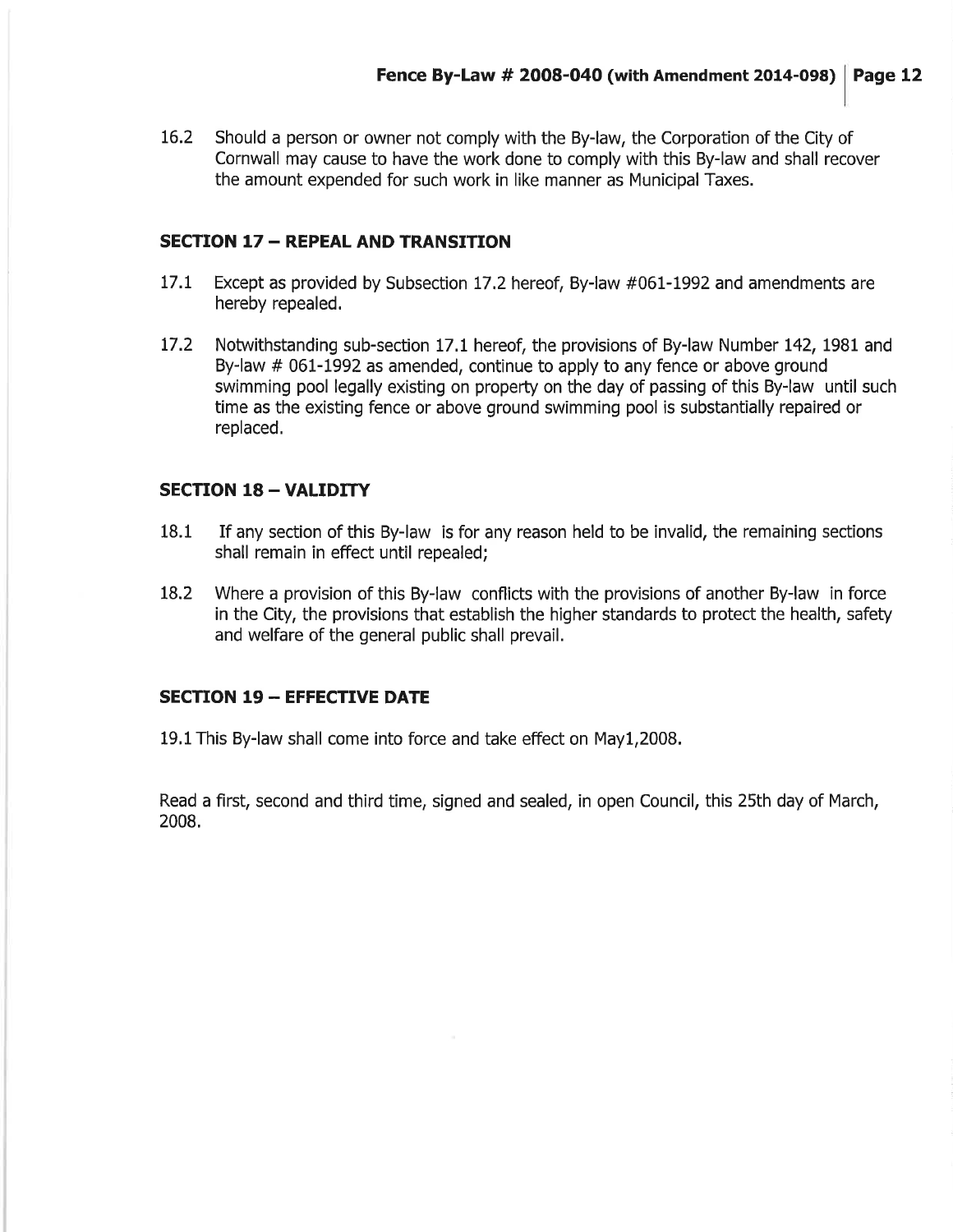16.2 Should a person or owner not comply with the By-law, the Corporation of the City of Cornwall may cause to have the work done to comply with this By-law and shall recover the amount expended for such work in like manner as Municipal Taxes.

#### **SECTION 17 - REPEAL AND TRANSITION**

- 17.1 Except as provided by Subsection 17.2 hereof, By-law #061-1992 and amendments are hereby repealed.
- 17.2 Notwithstanding sub-section 17.1 hereof, the provisions of By-law Number 142, 1981 and By-law # 061-1992 as amended, continue to apply to any fence or above ground swimming pool legally existing on property on the day of passing of this By-law until such time as the existing fence or above ground swimming pool is substantially repaired or replaced,

#### SECTION 18 - VALIDITY

- 18.1 If any section of this By-law is for any reason held to be invalid, the remaining sections shall remain in effect until repealed;
- 18.2 Where a provision of this By-law conflicts with the provisions of another By-law in force in the City, the provisions that establish the higher standards to protect the health, safety and welfare of the general public shall prevail.

#### SECTION 19 - EFFECTIVE DATE

19,1This By-law shall come into force and take effect on May1,2008,

Read a first, second and third time, signed and sealed, in open Council, this 25th day of March, 2008.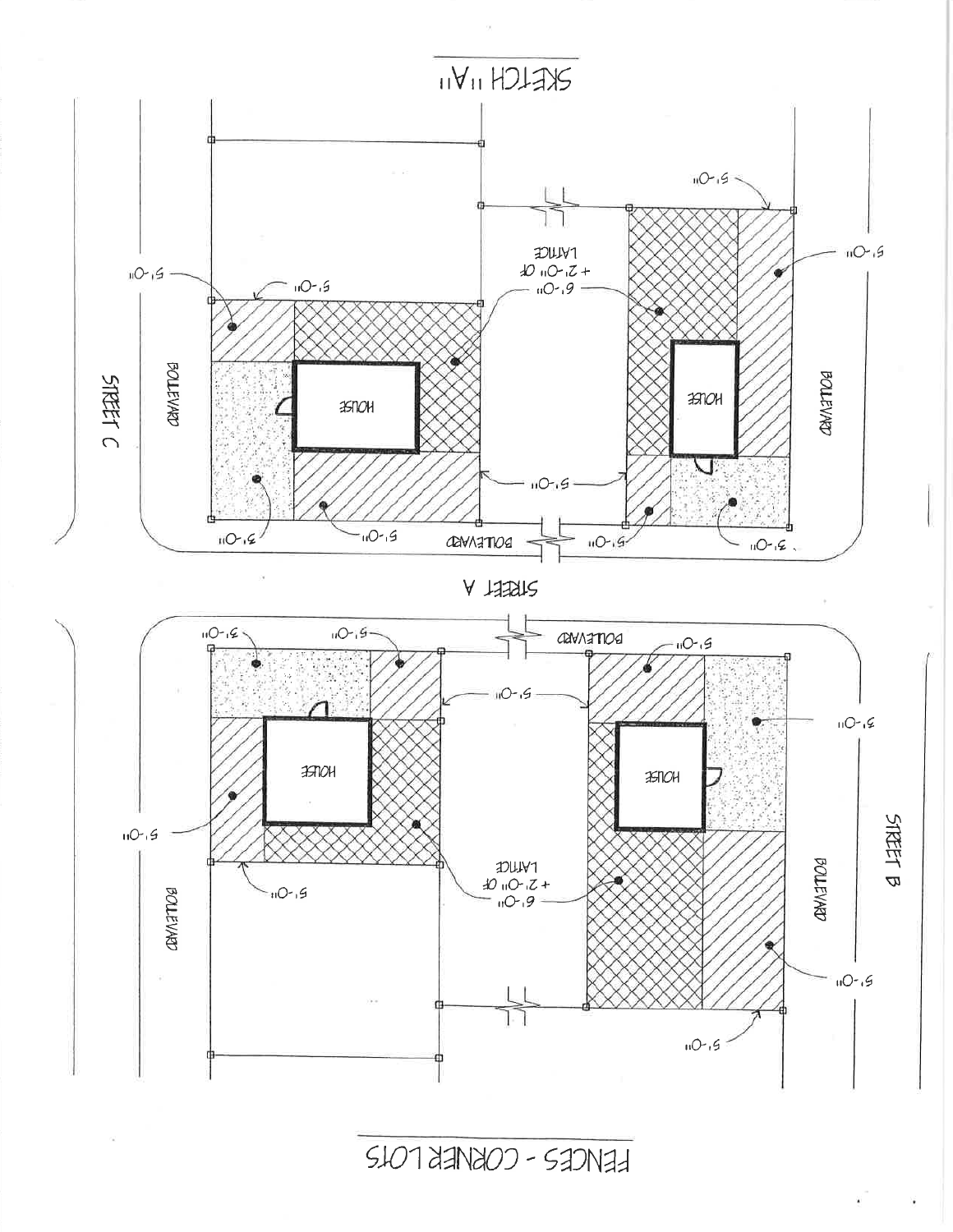

FENCES - CORNER LOTS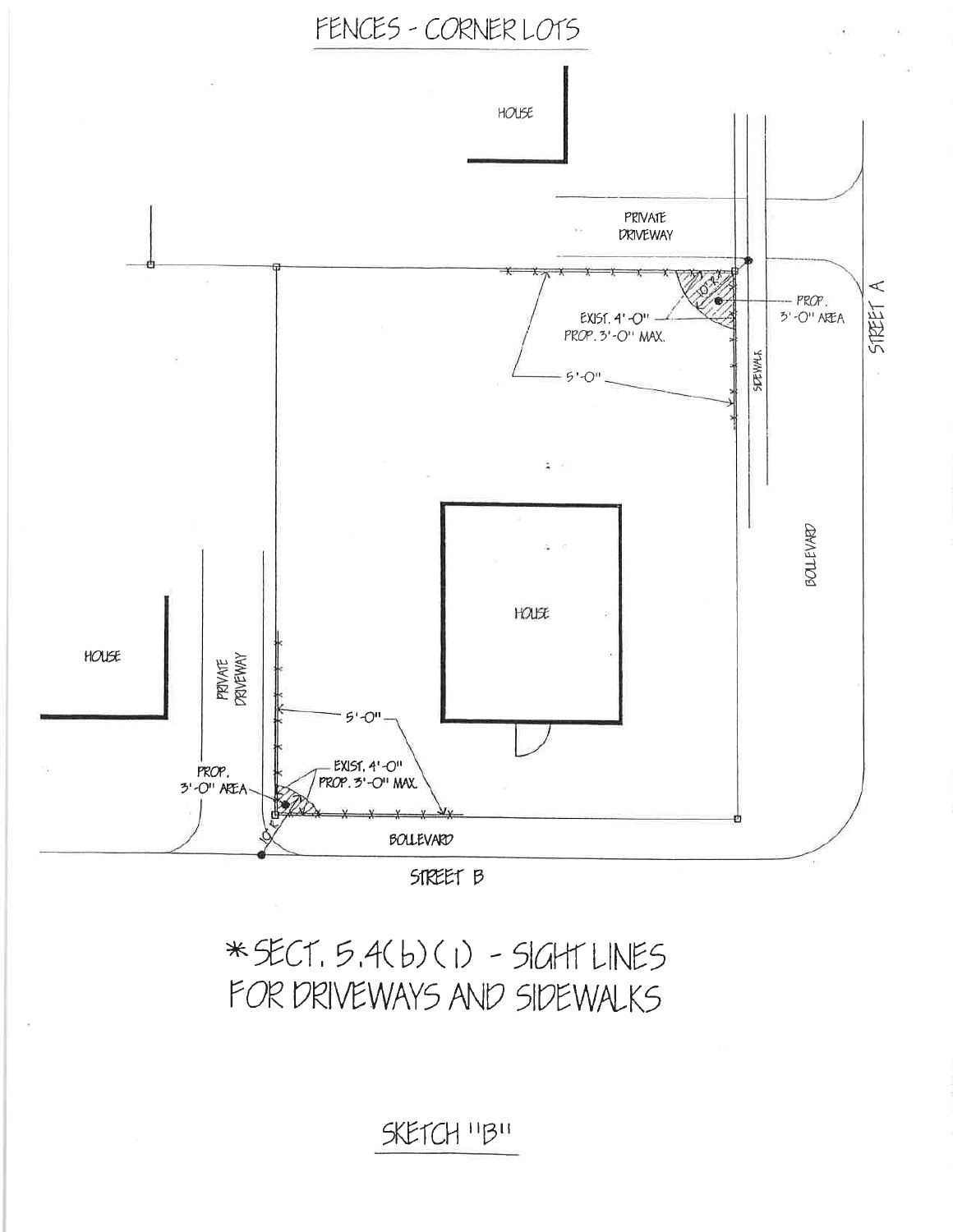### SKETCH "B"

## \* SECT. 5.4(b)(1) - SIGHT LINES FOR DRIVEWAYS AND SIDEWALKS



### FENCES - CORNER LOTS